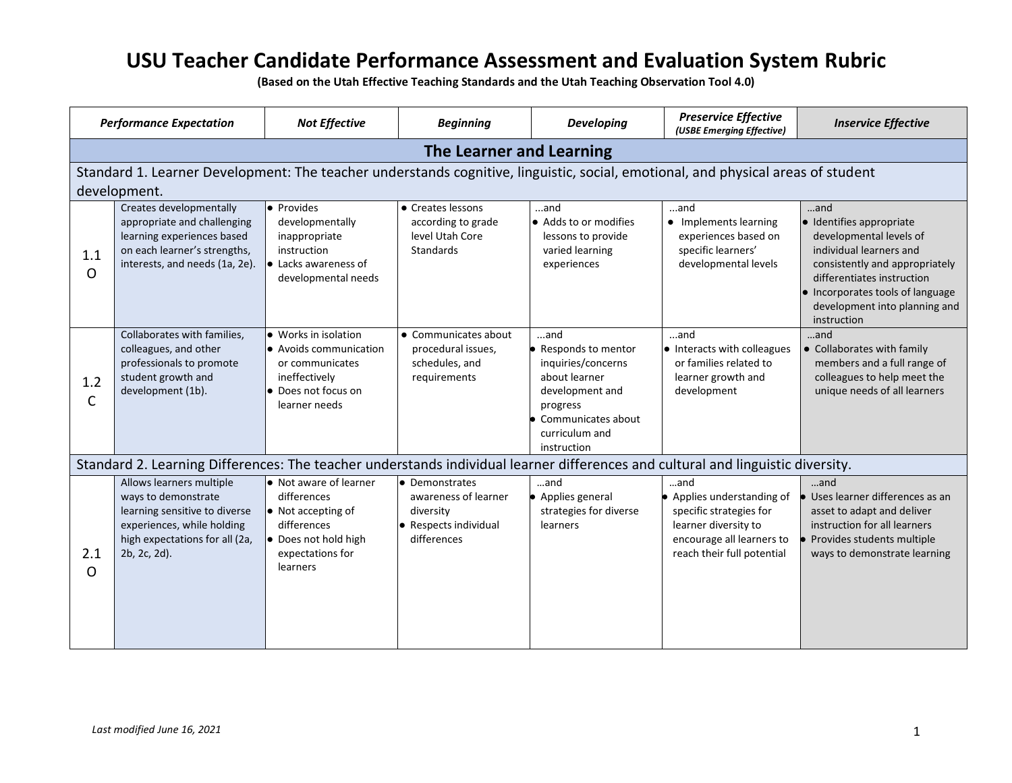|                                 | <b>Performance Expectation</b>                                                                                                                                   | <b>Not Effective</b>                                                                                                                                                                                                                | <b>Beginning</b>                                                                            | <b>Developing</b>                                                                                                                                        | <b>Preservice Effective</b><br>(USBE Emerging Effective)                                                                                      | <b>Inservice Effective</b>                                                                                                                                                                                                                |  |  |  |
|---------------------------------|------------------------------------------------------------------------------------------------------------------------------------------------------------------|-------------------------------------------------------------------------------------------------------------------------------------------------------------------------------------------------------------------------------------|---------------------------------------------------------------------------------------------|----------------------------------------------------------------------------------------------------------------------------------------------------------|-----------------------------------------------------------------------------------------------------------------------------------------------|-------------------------------------------------------------------------------------------------------------------------------------------------------------------------------------------------------------------------------------------|--|--|--|
| <b>The Learner and Learning</b> |                                                                                                                                                                  |                                                                                                                                                                                                                                     |                                                                                             |                                                                                                                                                          |                                                                                                                                               |                                                                                                                                                                                                                                           |  |  |  |
|                                 | Standard 1. Learner Development: The teacher understands cognitive, linguistic, social, emotional, and physical areas of student<br>development.                 |                                                                                                                                                                                                                                     |                                                                                             |                                                                                                                                                          |                                                                                                                                               |                                                                                                                                                                                                                                           |  |  |  |
| 1.1<br>$\Omega$                 | Creates developmentally<br>appropriate and challenging<br>learning experiences based<br>on each learner's strengths,<br>interests, and needs (1a, 2e).           | <b>•</b> Provides<br>• Creates lessons<br>and<br>according to grade<br>developmentally<br>inappropriate<br>level Utah Core<br>instruction<br><b>Standards</b><br>$\bullet$ Lacks awareness of<br>experiences<br>developmental needs |                                                                                             | • Adds to or modifies<br>lessons to provide<br>varied learning                                                                                           | and<br>• Implements learning<br>experiences based on<br>specific learners'<br>developmental levels                                            | and<br>· Identifies appropriate<br>developmental levels of<br>individual learners and<br>consistently and appropriately<br>differentiates instruction<br>• Incorporates tools of language<br>development into planning and<br>instruction |  |  |  |
| 1.2<br>C                        | Collaborates with families,<br>colleagues, and other<br>professionals to promote<br>student growth and<br>development (1b).                                      | • Works in isolation<br>• Avoids communication<br>or communicates<br>ineffectively<br>• Does not focus on<br>learner needs                                                                                                          | • Communicates about<br>procedural issues,<br>schedules, and<br>requirements                | and<br>● Responds to mentor<br>inquiries/concerns<br>about learner<br>development and<br>progress<br>Communicates about<br>curriculum and<br>instruction | $$ and<br>• Interacts with colleagues<br>or families related to<br>learner growth and<br>development                                          | and<br>• Collaborates with family<br>members and a full range of<br>colleagues to help meet the<br>unique needs of all learners                                                                                                           |  |  |  |
|                                 | Standard 2. Learning Differences: The teacher understands individual learner differences and cultural and linguistic diversity.                                  |                                                                                                                                                                                                                                     |                                                                                             |                                                                                                                                                          |                                                                                                                                               |                                                                                                                                                                                                                                           |  |  |  |
| 2.1<br>$\Omega$                 | Allows learners multiple<br>ways to demonstrate<br>learning sensitive to diverse<br>experiences, while holding<br>high expectations for all (2a,<br>2b, 2c, 2d). | • Not aware of learner<br>differences<br>$\bullet$ Not accepting of<br>differences<br>• Does not hold high<br>expectations for<br>learners                                                                                          | • Demonstrates<br>awareness of learner<br>diversity<br>• Respects individual<br>differences | and<br>• Applies general<br>strategies for diverse<br><b>learners</b>                                                                                    | and<br>Applies understanding of<br>specific strategies for<br>learner diversity to<br>encourage all learners to<br>reach their full potential | and<br>Uses learner differences as an<br>asset to adapt and deliver<br>instruction for all learners<br>Provides students multiple<br>ways to demonstrate learning                                                                         |  |  |  |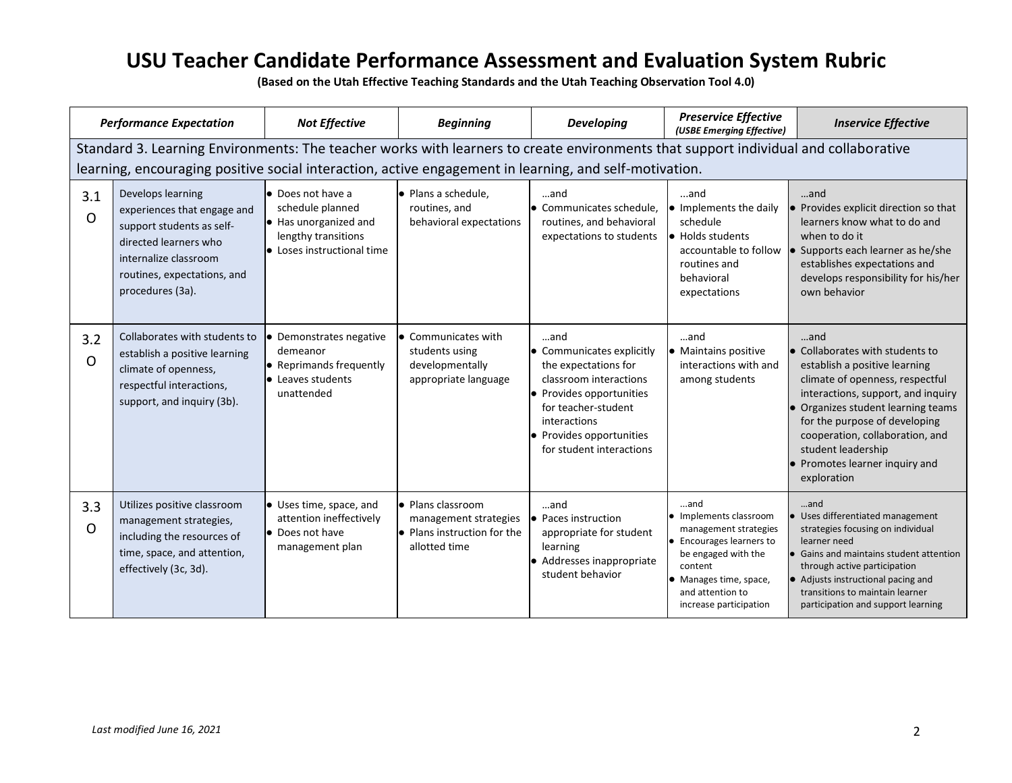|                 | <b>Performance Expectation</b>                                                                                                                                                                                                                | <b>Not Effective</b>                                                                                                             | <b>Beginning</b>                                                                           | <b>Developing</b>                                                                                                                                                                                             | <b>Preservice Effective</b><br>(USBE Emerging Effective)                                                                                                                                     | <b>Inservice Effective</b>                                                                                                                                                                                                                                                                                                              |  |  |  |
|-----------------|-----------------------------------------------------------------------------------------------------------------------------------------------------------------------------------------------------------------------------------------------|----------------------------------------------------------------------------------------------------------------------------------|--------------------------------------------------------------------------------------------|---------------------------------------------------------------------------------------------------------------------------------------------------------------------------------------------------------------|----------------------------------------------------------------------------------------------------------------------------------------------------------------------------------------------|-----------------------------------------------------------------------------------------------------------------------------------------------------------------------------------------------------------------------------------------------------------------------------------------------------------------------------------------|--|--|--|
|                 | Standard 3. Learning Environments: The teacher works with learners to create environments that support individual and collaborative<br>learning, encouraging positive social interaction, active engagement in learning, and self-motivation. |                                                                                                                                  |                                                                                            |                                                                                                                                                                                                               |                                                                                                                                                                                              |                                                                                                                                                                                                                                                                                                                                         |  |  |  |
| 3.1<br>O        | Develops learning<br>experiences that engage and<br>support students as self-<br>directed learners who<br>internalize classroom<br>routines, expectations, and<br>procedures (3a).                                                            | <b>Does not have a</b><br>schedule planned<br>$\bullet$ Has unorganized and<br>lengthy transitions<br>• Loses instructional time | $\bullet$ Plans a schedule.<br>routines, and<br>behavioral expectations                    | and<br>• Communicates schedule,<br>routines, and behavioral<br>expectations to students                                                                                                                       | and<br>$\bullet$ Implements the daily<br>schedule<br>l● Holds students<br>accountable to follow<br>routines and<br>behavioral<br>expectations                                                | and<br>• Provides explicit direction so that<br>learners know what to do and<br>when to do it<br>Supports each learner as he/she<br>establishes expectations and<br>develops responsibility for his/her<br>own behavior                                                                                                                 |  |  |  |
| 3.2<br>$\Omega$ | Collaborates with students to<br>establish a positive learning<br>climate of openness,<br>respectful interactions,<br>support, and inquiry (3b).                                                                                              | Demonstrates negative<br>demeanor<br>• Reprimands frequently<br>• Leaves students<br>unattended                                  | • Communicates with<br>students using<br>developmentally<br>appropriate language           | and<br>• Communicates explicitly<br>the expectations for<br>classroom interactions<br>• Provides opportunities<br>for teacher-student<br>interactions<br>• Provides opportunities<br>for student interactions | and<br>• Maintains positive<br>interactions with and<br>among students                                                                                                                       | and<br>$\bullet$ Collaborates with students to<br>establish a positive learning<br>climate of openness, respectful<br>interactions, support, and inquiry<br>• Organizes student learning teams<br>for the purpose of developing<br>cooperation, collaboration, and<br>student leadership<br>Promotes learner inquiry and<br>exploration |  |  |  |
| 3.3<br>O        | Utilizes positive classroom<br>management strategies,<br>including the resources of<br>time, space, and attention,<br>effectively (3c, 3d).                                                                                                   | • Uses time, space, and<br>attention ineffectively<br><b>Does not have</b><br>management plan                                    | • Plans classroom<br>management strategies<br>• Plans instruction for the<br>allotted time | and<br>Paces instruction<br>appropriate for student<br>learning<br>• Addresses inappropriate<br>student behavior                                                                                              | and<br>• Implements classroom<br>management strategies<br>• Encourages learners to<br>be engaged with the<br>content<br>• Manages time, space,<br>and attention to<br>increase participation | and<br>· Uses differentiated management<br>strategies focusing on individual<br>learner need<br>Gains and maintains student attention<br>through active participation<br>• Adjusts instructional pacing and<br>transitions to maintain learner<br>participation and support learning                                                    |  |  |  |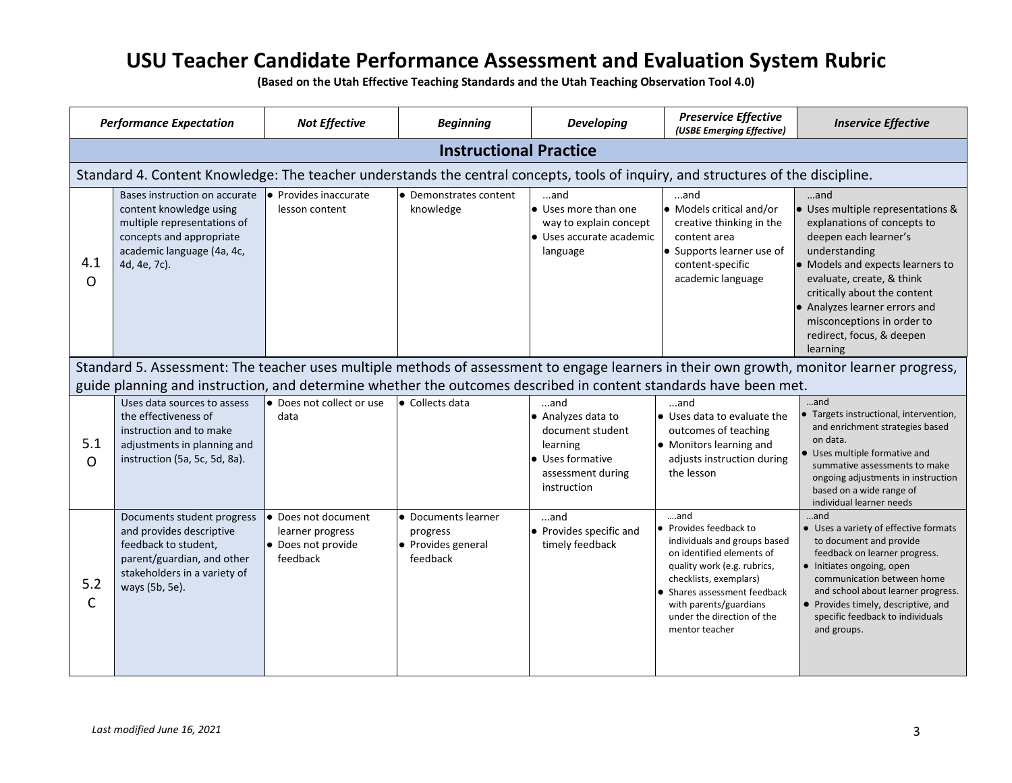|                 | <b>Performance Expectation</b>                                                                                                                                                                                                                                | <b>Not Effective</b>                                                      | <b>Beginning</b>                                                  | <b>Developing</b>                                                                                                 | <b>Preservice Effective</b><br>(USBE Emerging Effective)                                                                                                                                                                                                      | <b>Inservice Effective</b>                                                                                                                                                                                                                                                                                                  |  |  |  |
|-----------------|---------------------------------------------------------------------------------------------------------------------------------------------------------------------------------------------------------------------------------------------------------------|---------------------------------------------------------------------------|-------------------------------------------------------------------|-------------------------------------------------------------------------------------------------------------------|---------------------------------------------------------------------------------------------------------------------------------------------------------------------------------------------------------------------------------------------------------------|-----------------------------------------------------------------------------------------------------------------------------------------------------------------------------------------------------------------------------------------------------------------------------------------------------------------------------|--|--|--|
|                 |                                                                                                                                                                                                                                                               |                                                                           | <b>Instructional Practice</b>                                     |                                                                                                                   |                                                                                                                                                                                                                                                               |                                                                                                                                                                                                                                                                                                                             |  |  |  |
|                 | Standard 4. Content Knowledge: The teacher understands the central concepts, tools of inquiry, and structures of the discipline.                                                                                                                              |                                                                           |                                                                   |                                                                                                                   |                                                                                                                                                                                                                                                               |                                                                                                                                                                                                                                                                                                                             |  |  |  |
| 4.1<br>$\Omega$ | Bases instruction on accurate<br>content knowledge using<br>multiple representations of<br>concepts and appropriate<br>academic language (4a, 4c,<br>4d, 4e, 7c).                                                                                             | $\bullet$ Provides inaccurate<br>lesson content                           | • Demonstrates content<br>knowledge                               | …and<br>$\bullet$ Uses more than one<br>way to explain concept<br>• Uses accurate academic<br>language            | and<br>• Models critical and/or<br>creative thinking in the<br>content area<br>• Supports learner use of<br>content-specific<br>academic language                                                                                                             | …and<br>· Uses multiple representations &<br>explanations of concepts to<br>deepen each learner's<br>understanding<br>• Models and expects learners to<br>evaluate, create, & think<br>critically about the content<br>• Analyzes learner errors and<br>misconceptions in order to<br>redirect, focus, & deepen<br>learning |  |  |  |
|                 | Standard 5. Assessment: The teacher uses multiple methods of assessment to engage learners in their own growth, monitor learner progress,<br>guide planning and instruction, and determine whether the outcomes described in content standards have been met. |                                                                           |                                                                   |                                                                                                                   |                                                                                                                                                                                                                                                               |                                                                                                                                                                                                                                                                                                                             |  |  |  |
| 5.1<br>$\Omega$ | Uses data sources to assess<br>the effectiveness of<br>instruction and to make<br>adjustments in planning and<br>instruction (5a, 5c, 5d, 8a).                                                                                                                | • Does not collect or use<br>data                                         | $\bullet$ Collects data                                           | and<br>• Analyzes data to<br>document student<br>learning<br>• Uses formative<br>assessment during<br>instruction | and<br>$\bullet$ Uses data to evaluate the<br>outcomes of teaching<br>• Monitors learning and<br>adjusts instruction during<br>the lesson                                                                                                                     | and<br>• Targets instructional, intervention,<br>and enrichment strategies based<br>on data.<br>· Uses multiple formative and<br>summative assessments to make<br>ongoing adjustments in instruction<br>based on a wide range of<br>individual learner needs                                                                |  |  |  |
| 5.2<br>C        | Documents student progress<br>and provides descriptive<br>feedback to student,<br>parent/guardian, and other<br>stakeholders in a variety of<br>ways (5b, 5e).                                                                                                | • Does not document<br>learner progress<br>• Does not provide<br>feedback | • Documents learner<br>progress<br>• Provides general<br>feedback | and<br>• Provides specific and<br>timely feedback                                                                 | and<br>• Provides feedback to<br>individuals and groups based<br>on identified elements of<br>quality work (e.g. rubrics,<br>checklists, exemplars)<br>• Shares assessment feedback<br>with parents/guardians<br>under the direction of the<br>mentor teacher | and<br>• Uses a variety of effective formats<br>to document and provide<br>feedback on learner progress.<br>• Initiates ongoing, open<br>communication between home<br>and school about learner progress.<br>• Provides timely, descriptive, and<br>specific feedback to individuals<br>and groups.                         |  |  |  |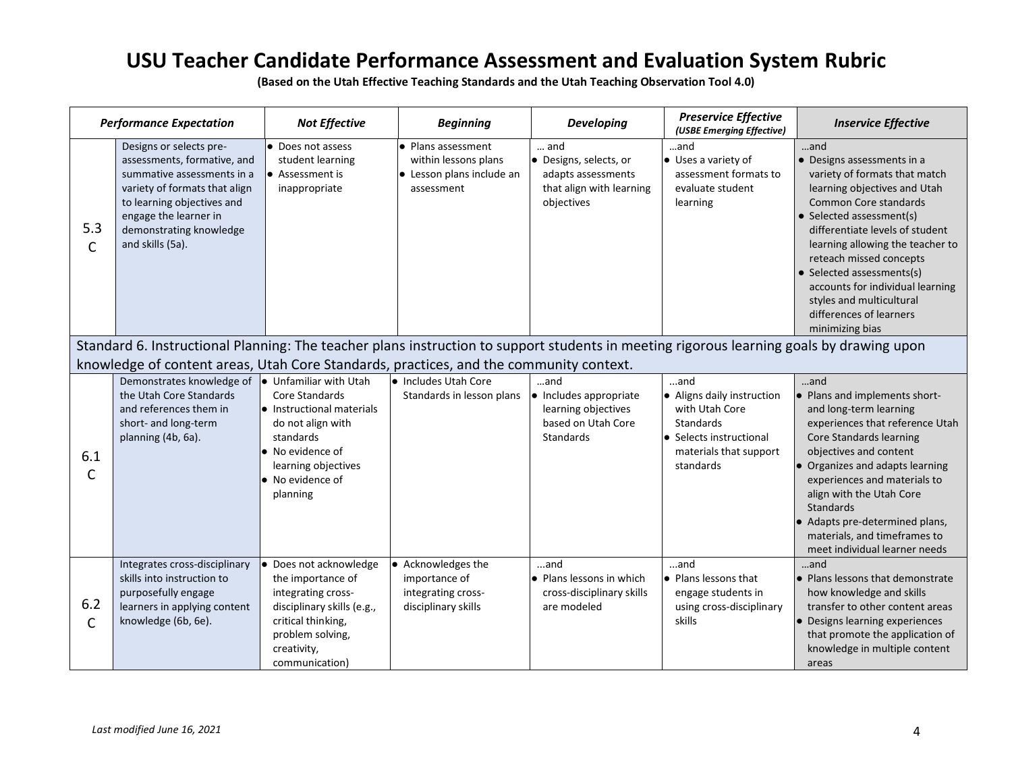|          | <b>Performance Expectation</b>                                                                                                                                                                                                     | Not Effective                                                                                                                                                                    | <b>Beginning</b>                                                                      | <b>Developing</b>                                                                             | <b>Preservice Effective</b><br>(USBE Emerging Effective)                                                                                  | <b>Inservice Effective</b>                                                                                                                                                                                                                                                                                                                                                                           |  |
|----------|------------------------------------------------------------------------------------------------------------------------------------------------------------------------------------------------------------------------------------|----------------------------------------------------------------------------------------------------------------------------------------------------------------------------------|---------------------------------------------------------------------------------------|-----------------------------------------------------------------------------------------------|-------------------------------------------------------------------------------------------------------------------------------------------|------------------------------------------------------------------------------------------------------------------------------------------------------------------------------------------------------------------------------------------------------------------------------------------------------------------------------------------------------------------------------------------------------|--|
| 5.3<br>C | Designs or selects pre-<br>assessments, formative, and<br>summative assessments in a<br>variety of formats that align<br>to learning objectives and<br>engage the learner in<br>demonstrating knowledge<br>and skills (5a).        | • Does not assess<br>student learning<br>• Assessment is<br>inappropriate                                                                                                        | • Plans assessment<br>within lessons plans<br>• Lesson plans include an<br>assessment | and<br>· Designs, selects, or<br>adapts assessments<br>that align with learning<br>objectives | …and<br>• Uses a variety of<br>assessment formats to<br>evaluate student<br>learning                                                      | and<br>• Designs assessments in a<br>variety of formats that match<br>learning objectives and Utah<br>Common Core standards<br>• Selected assessment(s)<br>differentiate levels of student<br>learning allowing the teacher to<br>reteach missed concepts<br>· Selected assessments(s)<br>accounts for individual learning<br>styles and multicultural<br>differences of learners<br>minimizing bias |  |
|          | Standard 6. Instructional Planning: The teacher plans instruction to support students in meeting rigorous learning goals by drawing upon<br>knowledge of content areas, Utah Core Standards, practices, and the community context. |                                                                                                                                                                                  |                                                                                       |                                                                                               |                                                                                                                                           |                                                                                                                                                                                                                                                                                                                                                                                                      |  |
|          |                                                                                                                                                                                                                                    |                                                                                                                                                                                  |                                                                                       |                                                                                               |                                                                                                                                           |                                                                                                                                                                                                                                                                                                                                                                                                      |  |
| 6.1<br>C | Demonstrates knowledge of<br>the Utah Core Standards<br>and references them in<br>short- and long-term<br>planning (4b, 6a).                                                                                                       | Unfamiliar with Utah<br>Core Standards<br>• Instructional materials<br>do not align with<br>standards<br>• No evidence of<br>learning objectives<br>• No evidence of<br>planning | • Includes Utah Core<br>Standards in lesson plans                                     | and<br>· Includes appropriate<br>learning objectives<br>based on Utah Core<br>Standards       | and<br>• Aligns daily instruction<br>with Utah Core<br><b>Standards</b><br>• Selects instructional<br>materials that support<br>standards | and<br>• Plans and implements short-<br>and long-term learning<br>experiences that reference Utah<br>Core Standards learning<br>objectives and content<br>• Organizes and adapts learning<br>experiences and materials to<br>align with the Utah Core<br><b>Standards</b><br>• Adapts pre-determined plans,<br>materials, and timeframes to<br>meet individual learner needs                         |  |
| 6.2<br>C | Integrates cross-disciplinary<br>skills into instruction to<br>purposefully engage<br>learners in applying content<br>knowledge (6b, 6e).                                                                                          | · Does not acknowledge<br>the importance of<br>integrating cross-<br>disciplinary skills (e.g.,<br>critical thinking,<br>problem solving,<br>creativity,<br>communication)       | • Acknowledges the<br>importance of<br>integrating cross-<br>disciplinary skills      | and<br>• Plans lessons in which<br>cross-disciplinary skills<br>are modeled                   | and<br>• Plans lessons that<br>engage students in<br>using cross-disciplinary<br>skills                                                   | and<br>• Plans lessons that demonstrate<br>how knowledge and skills<br>transfer to other content areas<br>• Designs learning experiences<br>that promote the application of<br>knowledge in multiple content<br>areas                                                                                                                                                                                |  |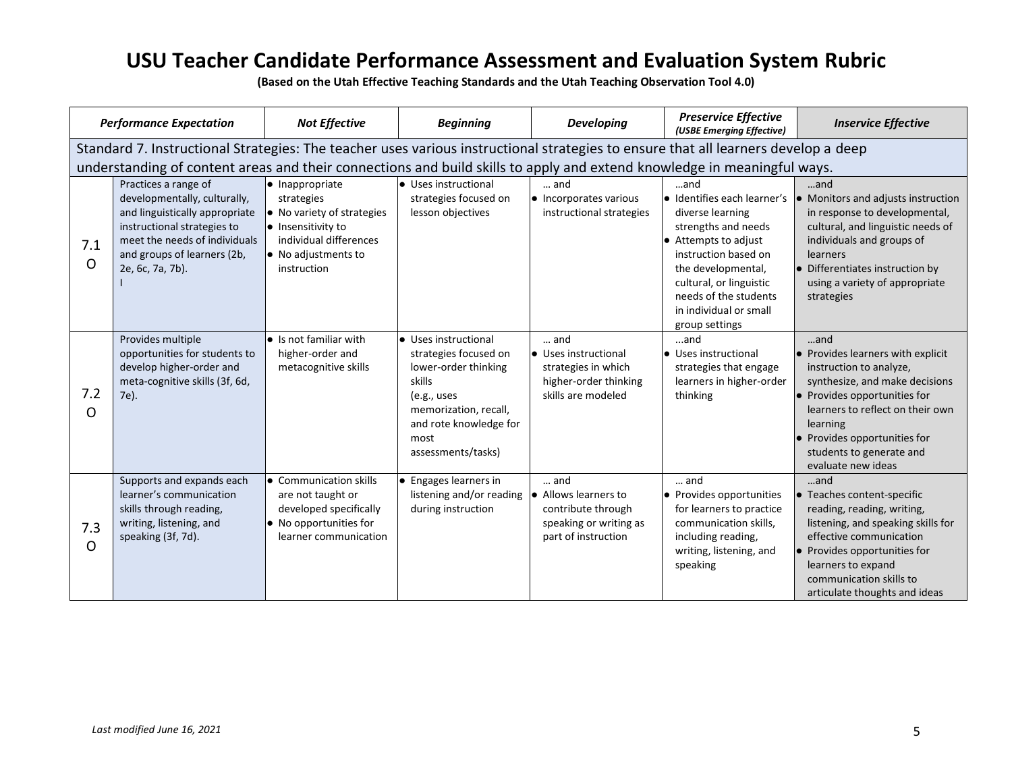|                     | <b>Performance Expectation</b>                                                                                                                                                                                                                                | <b>Not Effective</b>                                                                                                                                      | <b>Beginning</b>                                                                                                                                                                | <b>Developing</b>                                                                                          | <b>Preservice Effective</b><br>(USBE Emerging Effective)                                                                                                                                                                                            | <b>Inservice Effective</b>                                                                                                                                                                                                                                              |  |  |  |
|---------------------|---------------------------------------------------------------------------------------------------------------------------------------------------------------------------------------------------------------------------------------------------------------|-----------------------------------------------------------------------------------------------------------------------------------------------------------|---------------------------------------------------------------------------------------------------------------------------------------------------------------------------------|------------------------------------------------------------------------------------------------------------|-----------------------------------------------------------------------------------------------------------------------------------------------------------------------------------------------------------------------------------------------------|-------------------------------------------------------------------------------------------------------------------------------------------------------------------------------------------------------------------------------------------------------------------------|--|--|--|
|                     | Standard 7. Instructional Strategies: The teacher uses various instructional strategies to ensure that all learners develop a deep<br>understanding of content areas and their connections and build skills to apply and extend knowledge in meaningful ways. |                                                                                                                                                           |                                                                                                                                                                                 |                                                                                                            |                                                                                                                                                                                                                                                     |                                                                                                                                                                                                                                                                         |  |  |  |
| 7.1<br>$\mathsf{O}$ | Practices a range of<br>developmentally, culturally,<br>and linguistically appropriate<br>instructional strategies to<br>meet the needs of individuals<br>and groups of learners (2b,<br>2e, 6c, 7a, 7b).                                                     | · Inappropriate<br>strategies<br>• No variety of strategies<br>• Insensitivity to<br>individual differences<br>$\bullet$ No adjustments to<br>instruction | • Uses instructional<br>strategies focused on<br>lesson objectives                                                                                                              | $\dots$ and<br>• Incorporates various<br>instructional strategies                                          | and<br>· Identifies each learner's<br>diverse learning<br>strengths and needs<br>• Attempts to adjust<br>instruction based on<br>the developmental,<br>cultural, or linguistic<br>needs of the students<br>in individual or small<br>group settings | and<br>Monitors and adjusts instruction<br>in response to developmental,<br>cultural, and linguistic needs of<br>individuals and groups of<br><b>learners</b><br>• Differentiates instruction by<br>using a variety of appropriate<br>strategies                        |  |  |  |
| 7.2<br>$\Omega$     | Provides multiple<br>opportunities for students to<br>develop higher-order and<br>meta-cognitive skills (3f, 6d,<br>7e).                                                                                                                                      | • Is not familiar with<br>higher-order and<br>metacognitive skills                                                                                        | • Uses instructional<br>strategies focused on<br>lower-order thinking<br>skills<br>(e.g., uses<br>memorization, recall,<br>and rote knowledge for<br>most<br>assessments/tasks) | and<br>• Uses instructional<br>strategies in which<br>higher-order thinking<br>skills are modeled          | and<br>• Uses instructional<br>strategies that engage<br>learners in higher-order<br>thinking                                                                                                                                                       | and<br>• Provides learners with explicit<br>instruction to analyze,<br>synthesize, and make decisions<br>• Provides opportunities for<br>learners to reflect on their own<br>learning<br>• Provides opportunities for<br>students to generate and<br>evaluate new ideas |  |  |  |
| 7.3<br>O            | Supports and expands each<br>learner's communication<br>skills through reading,<br>writing, listening, and<br>speaking (3f, 7d).                                                                                                                              | • Communication skills<br>are not taught or<br>developed specifically<br>• No opportunities for<br>learner communication                                  | • Engages learners in<br>listening and/or reading<br>during instruction                                                                                                         | $\dots$ and<br>• Allows learners to<br>contribute through<br>speaking or writing as<br>part of instruction | $\dots$ and<br>• Provides opportunities<br>for learners to practice<br>communication skills,<br>including reading,<br>writing, listening, and<br>speaking                                                                                           | and<br>• Teaches content-specific<br>reading, reading, writing,<br>listening, and speaking skills for<br>effective communication<br>• Provides opportunities for<br>learners to expand<br>communication skills to<br>articulate thoughts and ideas                      |  |  |  |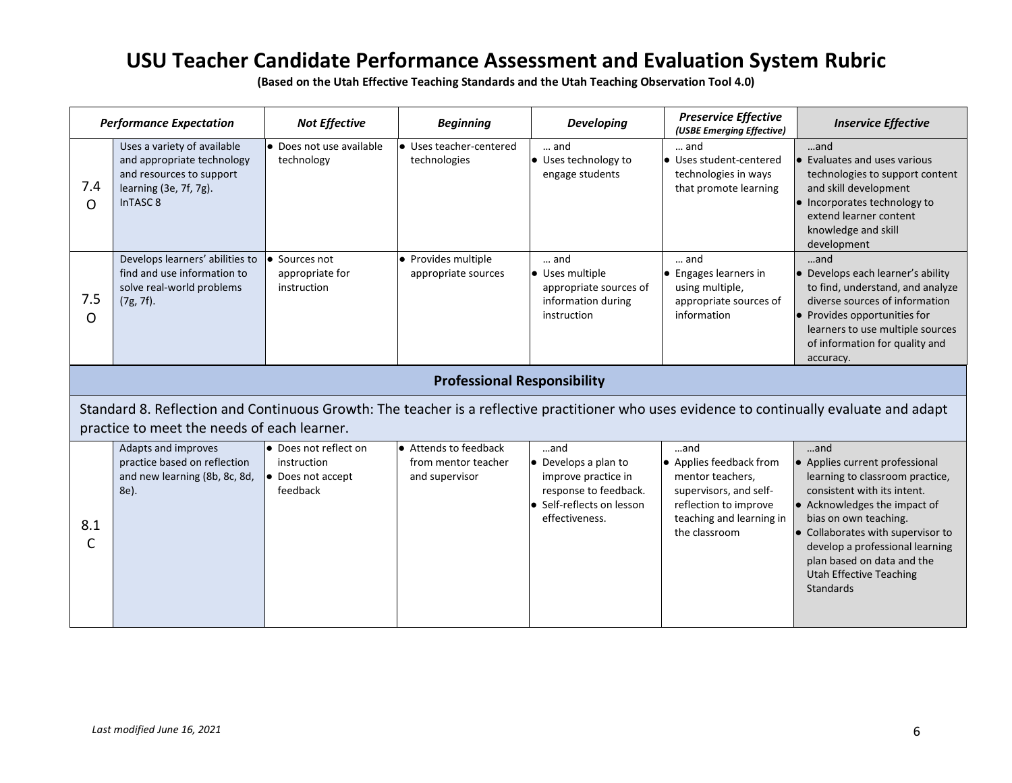| <b>Performance Expectation</b> |                                                                                                                                        | <b>Not Effective</b>                                                         | <b>Beginning</b>                                             | <b>Developing</b>                                                                                                          | <b>Preservice Effective</b><br>(USBE Emerging Effective)                                                                                           | <b>Inservice Effective</b>                                                                                                                                                                                                                                                                                                   |
|--------------------------------|----------------------------------------------------------------------------------------------------------------------------------------|------------------------------------------------------------------------------|--------------------------------------------------------------|----------------------------------------------------------------------------------------------------------------------------|----------------------------------------------------------------------------------------------------------------------------------------------------|------------------------------------------------------------------------------------------------------------------------------------------------------------------------------------------------------------------------------------------------------------------------------------------------------------------------------|
| 7.4<br>$\Omega$                | Uses a variety of available<br>and appropriate technology<br>and resources to support<br>learning (3e, 7f, 7g).<br>InTASC <sub>8</sub> | • Does not use available<br>technology                                       | • Uses teacher-centered<br>technologies                      | and<br>• Uses technology to<br>engage students                                                                             | $\dots$ and<br>● Uses student-centered<br>technologies in ways<br>that promote learning                                                            | and<br>$\bullet$ Evaluates and uses various<br>technologies to support content<br>and skill development<br>• Incorporates technology to<br>extend learner content<br>knowledge and skill<br>development                                                                                                                      |
| 7.5<br>$\Omega$                | Develops learners' abilities to<br>find and use information to<br>solve real-world problems<br>(7g, 7f).                               | • Sources not<br>appropriate for<br>instruction                              | • Provides multiple<br>appropriate sources                   | $\dots$ and<br>• Uses multiple<br>appropriate sources of<br>information during<br>instruction                              | and<br>Engages learners in<br>l.<br>using multiple,<br>appropriate sources of<br>information                                                       | and<br>• Develops each learner's ability<br>to find, understand, and analyze<br>diverse sources of information<br>• Provides opportunities for<br>learners to use multiple sources<br>of information for quality and<br>accuracy.                                                                                            |
|                                |                                                                                                                                        |                                                                              | <b>Professional Responsibility</b>                           |                                                                                                                            |                                                                                                                                                    |                                                                                                                                                                                                                                                                                                                              |
|                                | practice to meet the needs of each learner.                                                                                            |                                                                              |                                                              |                                                                                                                            |                                                                                                                                                    | Standard 8. Reflection and Continuous Growth: The teacher is a reflective practitioner who uses evidence to continually evaluate and adapt                                                                                                                                                                                   |
| 8.1<br>C                       | Adapts and improves<br>practice based on reflection<br>and new learning (8b, 8c, 8d,<br>8e).                                           | <b>.</b> Does not reflect on<br>instruction<br>• Does not accept<br>feedback | Attends to feedback<br>from mentor teacher<br>and supervisor | and<br>• Develops a plan to<br>improve practice in<br>response to feedback.<br>• Self-reflects on lesson<br>effectiveness. | and<br>• Applies feedback from<br>mentor teachers,<br>supervisors, and self-<br>reflection to improve<br>teaching and learning in<br>the classroom | and<br>• Applies current professional<br>learning to classroom practice,<br>consistent with its intent.<br>• Acknowledges the impact of<br>bias on own teaching.<br>• Collaborates with supervisor to<br>develop a professional learning<br>plan based on data and the<br><b>Utah Effective Teaching</b><br><b>Standards</b> |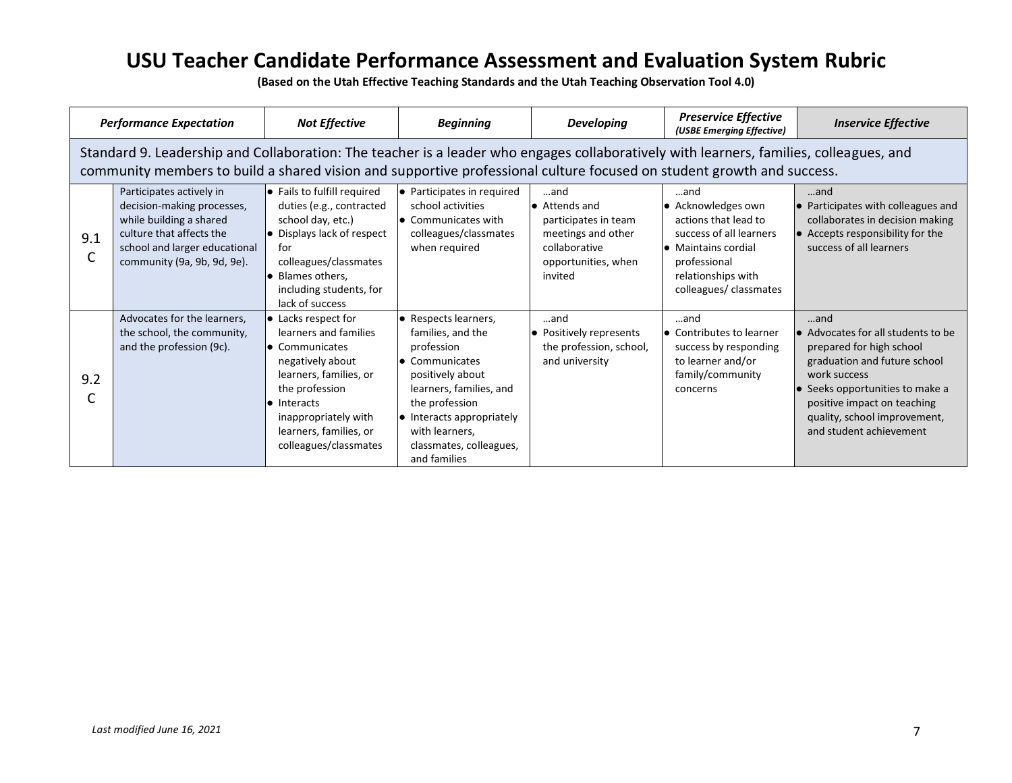| <b>Performance Expectation</b> |                                                                                                                                                                                                                                                                 | <b>Not Effective</b>                                                                                                                                                                                                                     | <b>Beginning</b>                                                                                                                                                                                                                                        | <b>Developing</b>                                                                                                            | <b>Preservice Effective</b><br>(USBE Emerging Effective)                                                                                                                  | <b>Inservice Effective</b>                                                                                                                                                                                                                         |  |  |  |
|--------------------------------|-----------------------------------------------------------------------------------------------------------------------------------------------------------------------------------------------------------------------------------------------------------------|------------------------------------------------------------------------------------------------------------------------------------------------------------------------------------------------------------------------------------------|---------------------------------------------------------------------------------------------------------------------------------------------------------------------------------------------------------------------------------------------------------|------------------------------------------------------------------------------------------------------------------------------|---------------------------------------------------------------------------------------------------------------------------------------------------------------------------|----------------------------------------------------------------------------------------------------------------------------------------------------------------------------------------------------------------------------------------------------|--|--|--|
|                                | Standard 9. Leadership and Collaboration: The teacher is a leader who engages collaboratively with learners, families, colleagues, and<br>community members to build a shared vision and supportive professional culture focused on student growth and success. |                                                                                                                                                                                                                                          |                                                                                                                                                                                                                                                         |                                                                                                                              |                                                                                                                                                                           |                                                                                                                                                                                                                                                    |  |  |  |
| 9.1                            | Participates actively in<br>decision-making processes,<br>while building a shared<br>culture that affects the<br>school and larger educational<br>community (9a, 9b, 9d, 9e).                                                                                   | $\bullet$ Fails to fulfill required<br>duties (e.g., contracted<br>school day, etc.)<br>• Displays lack of respect<br>for<br>colleagues/classmates<br><b>Blames others.</b><br>including students, for<br>lack of success                | $\bullet$ Participates in required<br>school activities<br><b>•</b> Communicates with<br>colleagues/classmates<br>when required                                                                                                                         | and<br><b>•</b> Attends and<br>participates in team<br>meetings and other<br>collaborative<br>opportunities, when<br>invited | and<br>• Acknowledges own<br>actions that lead to<br>success of all learners<br><b>•</b> Maintains cordial<br>professional<br>relationships with<br>colleagues/classmates | and<br>$\bullet$ Participates with colleagues and<br>collaborates in decision making<br>• Accepts responsibility for the<br>success of all learners                                                                                                |  |  |  |
| 9.2                            | Advocates for the learners,<br>the school, the community,<br>and the profession (9c).                                                                                                                                                                           | $\bullet$ Lacks respect for<br>learners and families<br><b>•</b> Communicates<br>negatively about<br>learners, families, or<br>the profession<br>lo Interacts<br>inappropriately with<br>learners, families, or<br>colleagues/classmates | • Respects learners,<br>families, and the<br>profession<br>Communicates<br>$\bullet$<br>positively about<br>learners, families, and<br>the profession<br>$\bullet$ Interacts appropriately<br>with learners,<br>classmates, colleagues,<br>and families | …and<br>• Positively represents<br>the profession, school,<br>and university                                                 | and<br>• Contributes to learner<br>success by responding<br>to learner and/or<br>family/community<br>concerns                                                             | and<br>• Advocates for all students to be<br>prepared for high school<br>graduation and future school<br>work success<br>• Seeks opportunities to make a<br>positive impact on teaching<br>quality, school improvement,<br>and student achievement |  |  |  |